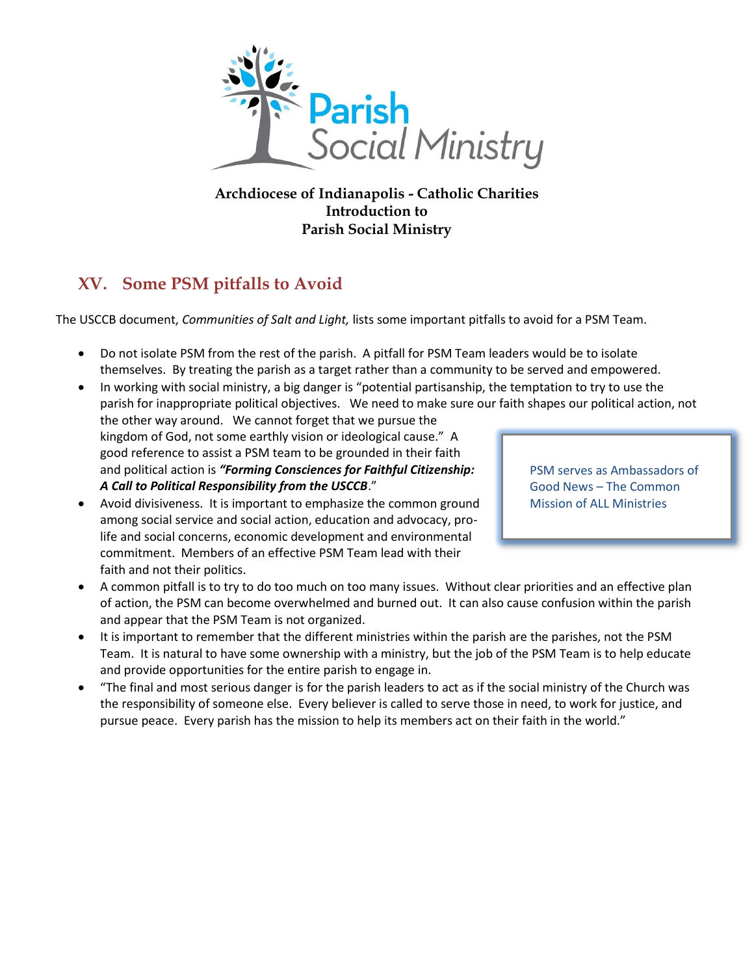

## **Archdiocese of Indianapolis - Catholic Charities Introduction to Parish Social Ministry**

## **XV. Some PSM pitfalls to Avoid**

The USCCB document, *Communities of Salt and Light,* lists some important pitfalls to avoid for a PSM Team.

- Do not isolate PSM from the rest of the parish. A pitfall for PSM Team leaders would be to isolate themselves. By treating the parish as a target rather than a community to be served and empowered.
- In working with social ministry, a big danger is "potential partisanship, the temptation to try to use the parish for inappropriate political objectives. We need to make sure our faith shapes our political action, not the other way around. We cannot forget that we pursue the kingdom of God, not some earthly vision or ideological cause." A good reference to assist a PSM team to be grounded in their faith and political action is *"Forming Consciences for Faithful Citizenship: A Call to Political Responsibility from the USCCB*." PSM serves as Ambassadors of Good News – The Common
- Avoid divisiveness. It is important to emphasize the common ground among social service and social action, education and advocacy, prolife and social concerns, economic development and environmental commitment. Members of an effective PSM Team lead with their faith and not their politics.
- A common pitfall is to try to do too much on too many issues. Without clear priorities and an effective plan of action, the PSM can become overwhelmed and burned out. It can also cause confusion within the parish
- and appear that the PSM Team is not organized. It is important to remember that the different ministries within the parish are the parishes, not the PSM Team. It is natural to have some ownership with a ministry, but the job of the PSM Team is to help educate and provide opportunities for the entire parish to engage in.
- "The final and most serious danger is for the parish leaders to act as if the social ministry of the Church was the responsibility of someone else. Every believer is called to serve those in need, to work for justice, and pursue peace. Every parish has the mission to help its members act on their faith in the world."

Mission of ALL Ministries